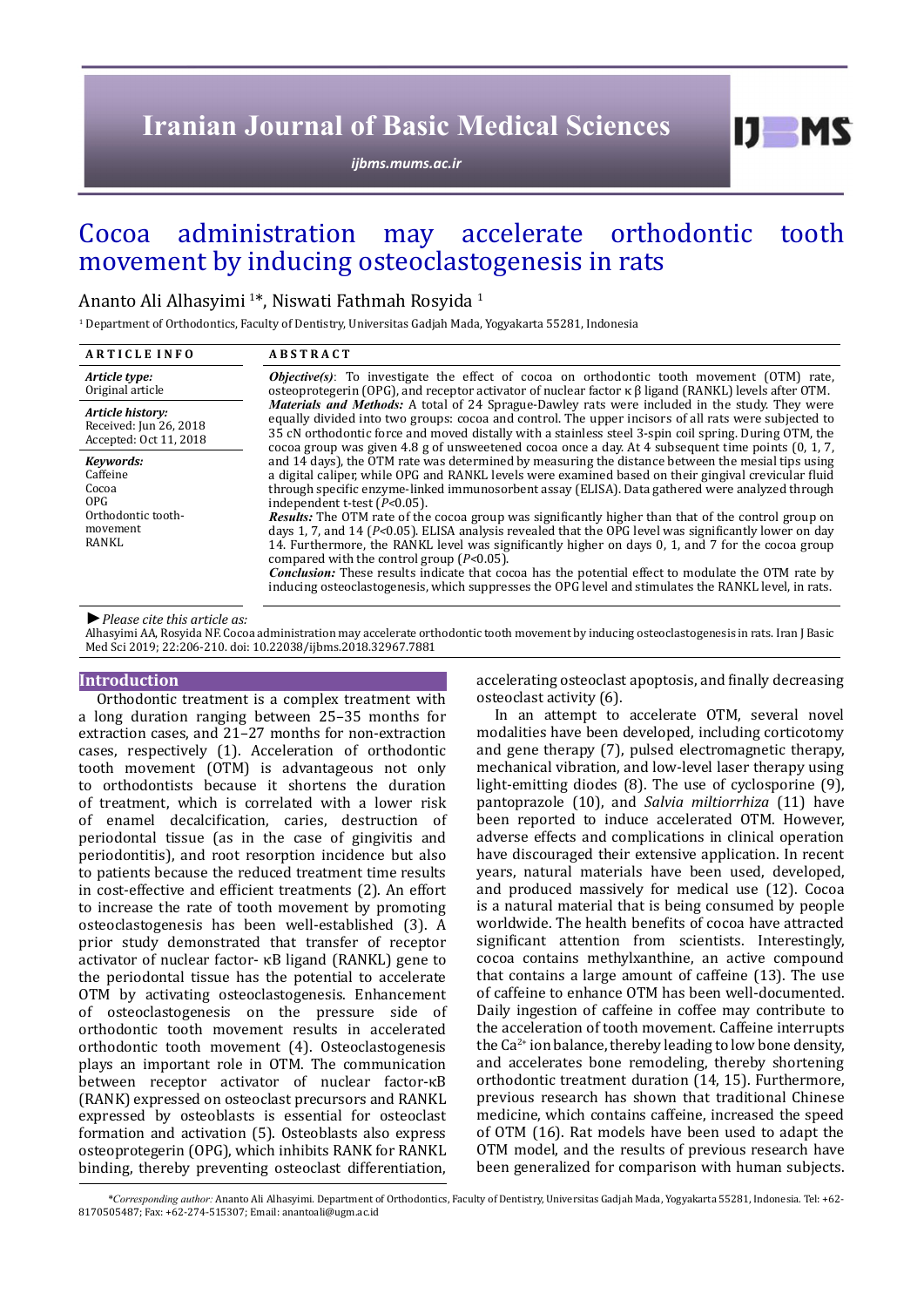# **Iranian Journal of Basic Medical Sciences**

*[ijbms.mums.ac.ir](http://ijbms.mums.ac.ir)*

# Cocoa administration may accelerate orthodontic tooth movement by inducing osteoclastogenesis in rats

# Ananto Ali Alhasyimi 1\*, Niswati Fathmah Rosyida <sup>1</sup>

1 Department of Orthodontics, Faculty of Dentistry, Universitas Gadjah Mada, Yogyakarta 55281, Indonesia

| <b>ARTICLE INFO</b>                                                               | <b>ABSTRACT</b>                                                                                                                                                                                                                                                                                                                                                                                                                                                                                                                                                                                                                                                                                                                                                                                                                                                                                                                                      |  |  |
|-----------------------------------------------------------------------------------|------------------------------------------------------------------------------------------------------------------------------------------------------------------------------------------------------------------------------------------------------------------------------------------------------------------------------------------------------------------------------------------------------------------------------------------------------------------------------------------------------------------------------------------------------------------------------------------------------------------------------------------------------------------------------------------------------------------------------------------------------------------------------------------------------------------------------------------------------------------------------------------------------------------------------------------------------|--|--|
| Article type:<br>Original article                                                 | <b><i>Objective(s)</i></b> : To investigate the effect of cocoa on orthodontic tooth movement (OTM) rate,<br>osteoprotegerin (OPG), and receptor activator of nuclear factor $\kappa \beta$ ligand (RANKL) levels after OTM.                                                                                                                                                                                                                                                                                                                                                                                                                                                                                                                                                                                                                                                                                                                         |  |  |
| Article history:<br>Received: Jun 26, 2018<br>Accepted: Oct 11, 2018              | Materials and Methods: A total of 24 Sprague-Dawley rats were included in the study. They were<br>equally divided into two groups: cocoa and control. The upper incisors of all rats were subjected to<br>35 cN orthodontic force and moved distally with a stainless steel 3-spin coil spring. During OTM, the<br>cocoa group was given 4.8 g of unsweetened cocoa once a day. At 4 subsequent time points (0, 1, 7,                                                                                                                                                                                                                                                                                                                                                                                                                                                                                                                                |  |  |
| Keywords:<br>Caffeine<br>Cocoa<br>OPG.<br>Orthodontic tooth-<br>movement<br>RANKL | and 14 days), the OTM rate was determined by measuring the distance between the mesial tips using<br>a digital caliper, while OPG and RANKL levels were examined based on their gingival crevicular fluid<br>through specific enzyme-linked immunosorbent assay (ELISA). Data gathered were analyzed through<br>independent t-test $(P<0.05)$ .<br><b>Results:</b> The OTM rate of the cocoa group was significantly higher than that of the control group on<br>days 1, 7, and 14 ( $P<0.05$ ). ELISA analysis revealed that the OPG level was significantly lower on day<br>14. Furthermore, the RANKL level was significantly higher on days 0, 1, and 7 for the cocoa group<br>compared with the control group $(P<0.05)$ .<br><b>Conclusion:</b> These results indicate that cocoa has the potential effect to modulate the OTM rate by<br>inducing osteoclastogenesis, which suppresses the OPG level and stimulates the RANKL level, in rats. |  |  |

*►Please cite this article as:*

Alhasyimi AA, Rosyida NF. Cocoa administration may accelerate orthodontic tooth movement by inducing osteoclastogenesis in rats. Iran J Basic Med Sci 2019; 22:206-210. doi: 10.22038/ijbms.2018.32967.7881

### **Introduction**

Orthodontic treatment is a complex treatment with a long duration ranging between 25–35 months for extraction cases, and 21–27 months for non-extraction cases, respectively (1). Acceleration of orthodontic tooth movement (OTM) is advantageous not only to orthodontists because it shortens the duration of treatment, which is correlated with a lower risk of enamel decalcification, caries, destruction of periodontal tissue (as in the case of gingivitis and periodontitis), and root resorption incidence but also to patients because the reduced treatment time results in cost-effective and efficient treatments (2). An effort to increase the rate of tooth movement by promoting osteoclastogenesis has been well-established (3). A prior study demonstrated that transfer of receptor activator of nuclear factor- κB ligand (RANKL) gene to the periodontal tissue has the potential to accelerate OTM by activating osteoclastogenesis. Enhancement of osteoclastogenesis on the pressure side of orthodontic tooth movement results in accelerated orthodontic tooth movement (4). Osteoclastogenesis plays an important role in OTM. The communication between receptor activator of nuclear factor-κB (RANK) expressed on osteoclast precursors and RANKL expressed by osteoblasts is essential for osteoclast formation and activation (5). Osteoblasts also express osteoprotegerin (OPG), which inhibits RANK for RANKL binding, thereby preventing osteoclast differentiation,

accelerating osteoclast apoptosis, and finally decreasing osteoclast activity (6).

 $I$   $I$   $M$   $S$ 

In an attempt to accelerate OTM, several novel modalities have been developed, including corticotomy and gene therapy (7), pulsed electromagnetic therapy, mechanical vibration, and low-level laser therapy using light-emitting diodes (8). The use of cyclosporine (9), pantoprazole (10), and *Salvia miltiorrhiza* (11) have been reported to induce accelerated OTM. However, adverse effects and complications in clinical operation have discouraged their extensive application. In recent years, natural materials have been used, developed, and produced massively for medical use (12). Cocoa is a natural material that is being consumed by people worldwide. The health benefits of cocoa have attracted significant attention from scientists. Interestingly, cocoa contains methylxanthine, an active compound that contains a large amount of caffeine (13). The use of caffeine to enhance OTM has been well-documented. Daily ingestion of caffeine in coffee may contribute to the acceleration of tooth movement. Caffeine interrupts the  $Ca^{2+}$  ion balance, thereby leading to low bone density, and accelerates bone remodeling, thereby shortening orthodontic treatment duration (14, 15). Furthermore, previous research has shown that traditional Chinese medicine, which contains caffeine, increased the speed of OTM (16). Rat models have been used to adapt the OTM model, and the results of previous research have been generalized for comparison with human subjects.

 *\*Corresponding author:* Ananto Ali Alhasyimi*.* Department of Orthodontics, Faculty of Dentistry, Universitas Gadjah Mada, Yogyakarta 55281, Indonesia. Tel: +62- 8170505487; Fax: +62-274-515307; Email: anantoali@ugm.ac.id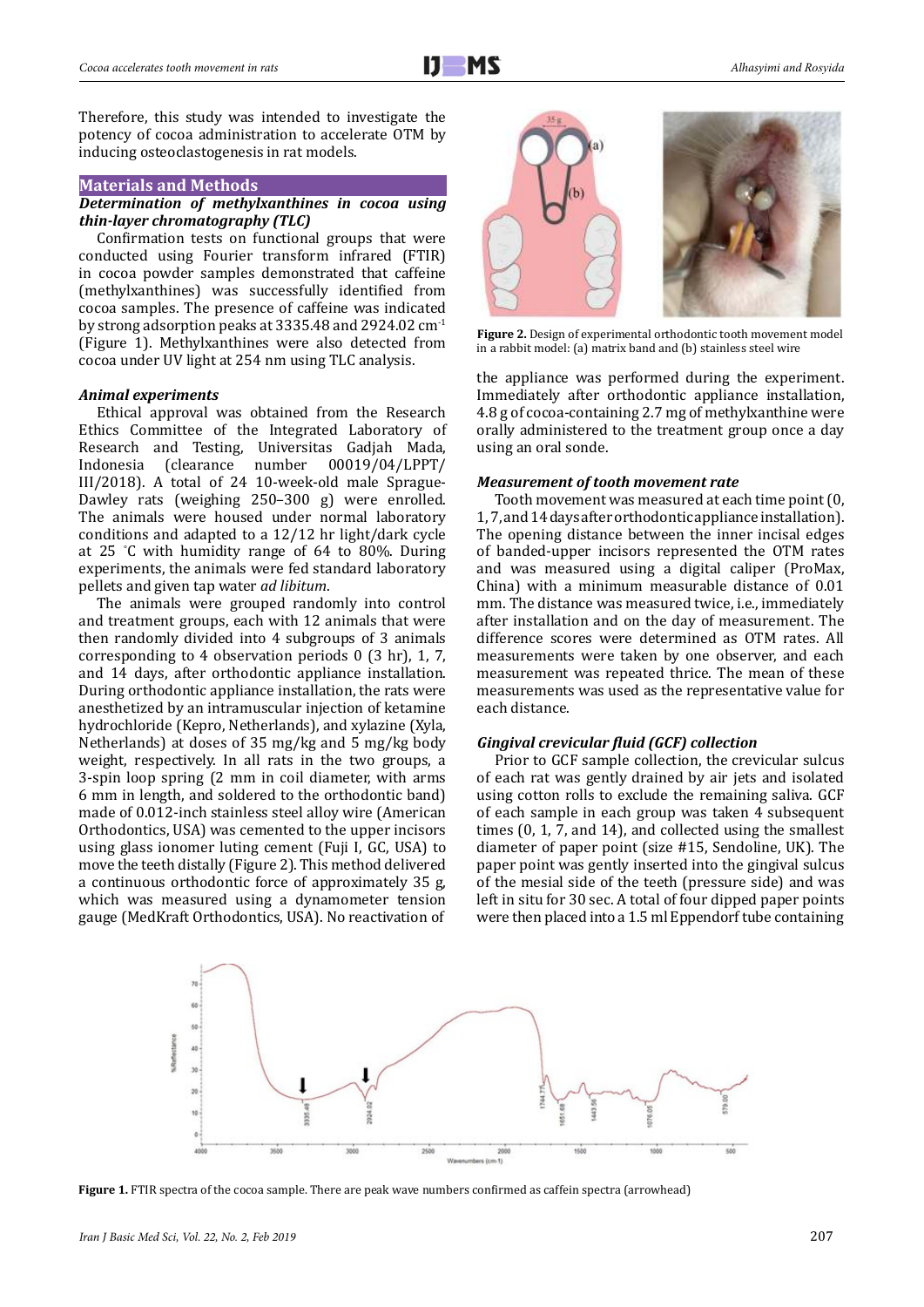#### **Materials and Methods**

#### *Determination of methylxanthines in cocoa using thin-layer chromatography (TLC)*

Confirmation tests on functional groups that were conducted using Fourier transform infrared (FTIR) in cocoa powder samples demonstrated that caffeine (methylxanthines) was successfully identified from cocoa samples. The presence of caffeine was indicated by strong adsorption peaks at 3335.48 and 2924.02 cm-1 (Figure 1). Methylxanthines were also detected from cocoa under UV light at 254 nm using TLC analysis.

#### *Animal experiments*

Ethical approval was obtained from the Research Ethics Committee of the Integrated Laboratory of Research and Testing, Universitas Gadjah Mada, Indonesia (clearance number 00019/04/LPPT/ 00019/04/LPPT/ III/2018). A total of 24 10-week-old male Sprague-Dawley rats (weighing 250–300 g) were enrolled. The animals were housed under normal laboratory conditions and adapted to a 12/12 hr light/dark cycle at 25 ° C with humidity range of 64 to 80%. During experiments, the animals were fed standard laboratory pellets and given tap water *ad libitum*.

The animals were grouped randomly into control and treatment groups, each with 12 animals that were then randomly divided into 4 subgroups of 3 animals corresponding to 4 observation periods 0 (3 hr), 1, 7, and 14 days, after orthodontic appliance installation. During orthodontic appliance installation, the rats were anesthetized by an intramuscular injection of ketamine hydrochloride (Kepro, Netherlands), and xylazine (Xyla, Netherlands) at doses of 35 mg/kg and 5 mg/kg body weight, respectively. In all rats in the two groups, a 3-spin loop spring (2 mm in coil diameter, with arms 6 mm in length, and soldered to the orthodontic band) made of 0.012-inch stainless steel alloy wire (American Orthodontics, USA) was cemented to the upper incisors using glass ionomer luting cement (Fuji I, GC, USA) to move the teeth distally (Figure 2). This method delivered a continuous orthodontic force of approximately 35 g, which was measured using a dynamometer tension gauge (MedKraft Orthodontics, USA). No reactivation of



**Figure 2.** Design of experimental orthodontic tooth movement model in a rabbit model: (a) matrix band and (b) stainless steel wire

the appliance was performed during the experiment. Immediately after orthodontic appliance installation, 4.8 g of cocoa-containing 2.7 mg of methylxanthine were orally administered to the treatment group once a day using an oral sonde.

### *Measurement of tooth movement rate*

Tooth movement was measured at each time point (0, 1, 7, and 14 days after orthodontic appliance installation). The opening distance between the inner incisal edges of banded-upper incisors represented the OTM rates and was measured using a digital caliper (ProMax, China) with a minimum measurable distance of 0.01 mm. The distance was measured twice, i.e., immediately after installation and on the day of measurement. The difference scores were determined as OTM rates. All measurements were taken by one observer, and each measurement was repeated thrice. The mean of these measurements was used as the representative value for each distance.

# *Gingival crevicular fluid (GCF) collection*

Prior to GCF sample collection, the crevicular sulcus of each rat was gently drained by air jets and isolated using cotton rolls to exclude the remaining saliva. GCF of each sample in each group was taken 4 subsequent times (0, 1, 7, and 14), and collected using the smallest diameter of paper point (size #15, Sendoline, UK). The paper point was gently inserted into the gingival sulcus of the mesial side of the teeth (pressure side) and was left in situ for 30 sec. A total of four dipped paper points were then placed into a 1.5 ml Eppendorf tube containing



**Figure 1.** FTIR spectra of the cocoa sample. There are peak wave numbers confirmed as caffein spectra (arrowhead)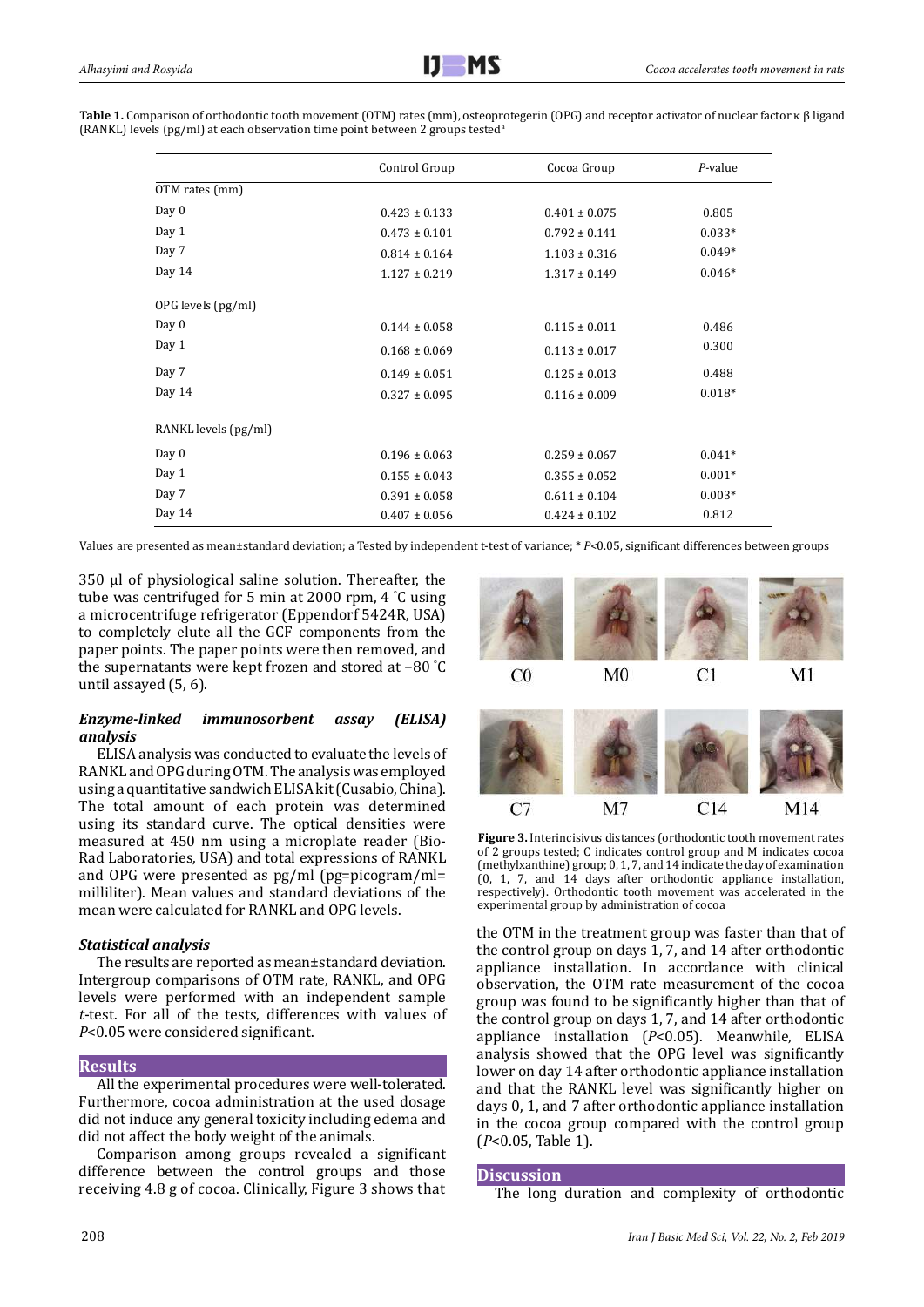| Table 1. Comparison of orthodontic tooth movement (OTM) rates (mm), osteoprotegerin (OPG) and receptor activator of nuclear factor $\kappa \beta$ ligand |
|----------------------------------------------------------------------------------------------------------------------------------------------------------|
| (RANKL) levels (pg/ml) at each observation time point between 2 groups tested <sup>a</sup>                                                               |
|                                                                                                                                                          |

|                      | Control Group     | Cocoa Group       | $P$ -value |
|----------------------|-------------------|-------------------|------------|
| OTM rates (mm)       |                   |                   |            |
| Day $0$              | $0.423 \pm 0.133$ | $0.401 \pm 0.075$ | 0.805      |
| Day 1                | $0.473 \pm 0.101$ | $0.792 \pm 0.141$ | $0.033*$   |
| Day 7                | $0.814 \pm 0.164$ | $1.103 \pm 0.316$ | $0.049*$   |
| Day 14               | $1.127 \pm 0.219$ | $1.317 \pm 0.149$ | $0.046*$   |
| OPG levels (pg/ml)   |                   |                   |            |
| Day $0$              | $0.144 \pm 0.058$ | $0.115 \pm 0.011$ | 0.486      |
| Day 1                | $0.168 \pm 0.069$ | $0.113 \pm 0.017$ | 0.300      |
| Day 7                | $0.149 \pm 0.051$ | $0.125 \pm 0.013$ | 0.488      |
| Day 14               | $0.327 \pm 0.095$ | $0.116 \pm 0.009$ | $0.018*$   |
| RANKL levels (pg/ml) |                   |                   |            |
| Day $0$              | $0.196 \pm 0.063$ | $0.259 \pm 0.067$ | $0.041*$   |
| Day 1                | $0.155 \pm 0.043$ | $0.355 \pm 0.052$ | $0.001*$   |
| Day 7                | $0.391 \pm 0.058$ | $0.611 \pm 0.104$ | $0.003*$   |
| Day 14               | $0.407 \pm 0.056$ | $0.424 \pm 0.102$ | 0.812      |

Values are presented as mean±standard deviation; a Tested by independent t-test of variance; \* *P<*0.05, significant differences between groups

350 μl of physiological saline solution. Thereafter, the tube was centrifuged for 5 min at 2000 rpm, 4 ° C using a microcentrifuge refrigerator (Eppendorf 5424R, USA) to completely elute all the GCF components from the paper points. The paper points were then removed, and the supernatants were kept frozen and stored at −80 ° C until assayed (5, 6).

# *Enzyme-linked immunosorbent assay (ELISA) analysis*

ELISA analysis was conducted to evaluate the levels of RANKL and OPG during OTM. The analysis was employed using a quantitative sandwich ELISA kit (Cusabio, China). The total amount of each protein was determined using its standard curve. The optical densities were measured at 450 nm using a microplate reader (Bio-Rad Laboratories, USA) and total expressions of RANKL and OPG were presented as pg/ml (pg=picogram/ml= milliliter). Mean values and standard deviations of the mean were calculated for RANKL and OPG levels.

# *Statistical analysis*

The results are reported as mean±standard deviation. Intergroup comparisons of OTM rate, RANKL, and OPG levels were performed with an independent sample *t*-test. For all of the tests, differences with values of *P*<0.05 were considered significant.

# **Results**

All the experimental procedures were well-tolerated. Furthermore, cocoa administration at the used dosage did not induce any general toxicity including edema and did not affect the body weight of the animals.

Comparison among groups revealed a significant difference between the control groups and those receiving 4.8 g of cocoa. Clinically, Figure 3 shows that



**Figure 3.** Interincisivus distances (orthodontic tooth movement rates of 2 groups tested; C indicates control group and M indicates cocoa (methylxanthine) group; 0, 1, 7, and 14 indicate the day of examination (0, 1, 7, and 14 days after orthodontic appliance installation, respectively). Orthodontic tooth movement was accelerated in the experimental group by administration of cocoa

the OTM in the treatment group was faster than that of the control group on days 1, 7, and 14 after orthodontic appliance installation. In accordance with clinical observation, the OTM rate measurement of the cocoa group was found to be significantly higher than that of the control group on days 1, 7, and 14 after orthodontic appliance installation (*P*<0.05). Meanwhile, ELISA analysis showed that the OPG level was significantly lower on day 14 after orthodontic appliance installation and that the RANKL level was significantly higher on days 0, 1, and 7 after orthodontic appliance installation in the cocoa group compared with the control group (*P*<0.05, Table 1).

# **Discussion**

The long duration and complexity of orthodontic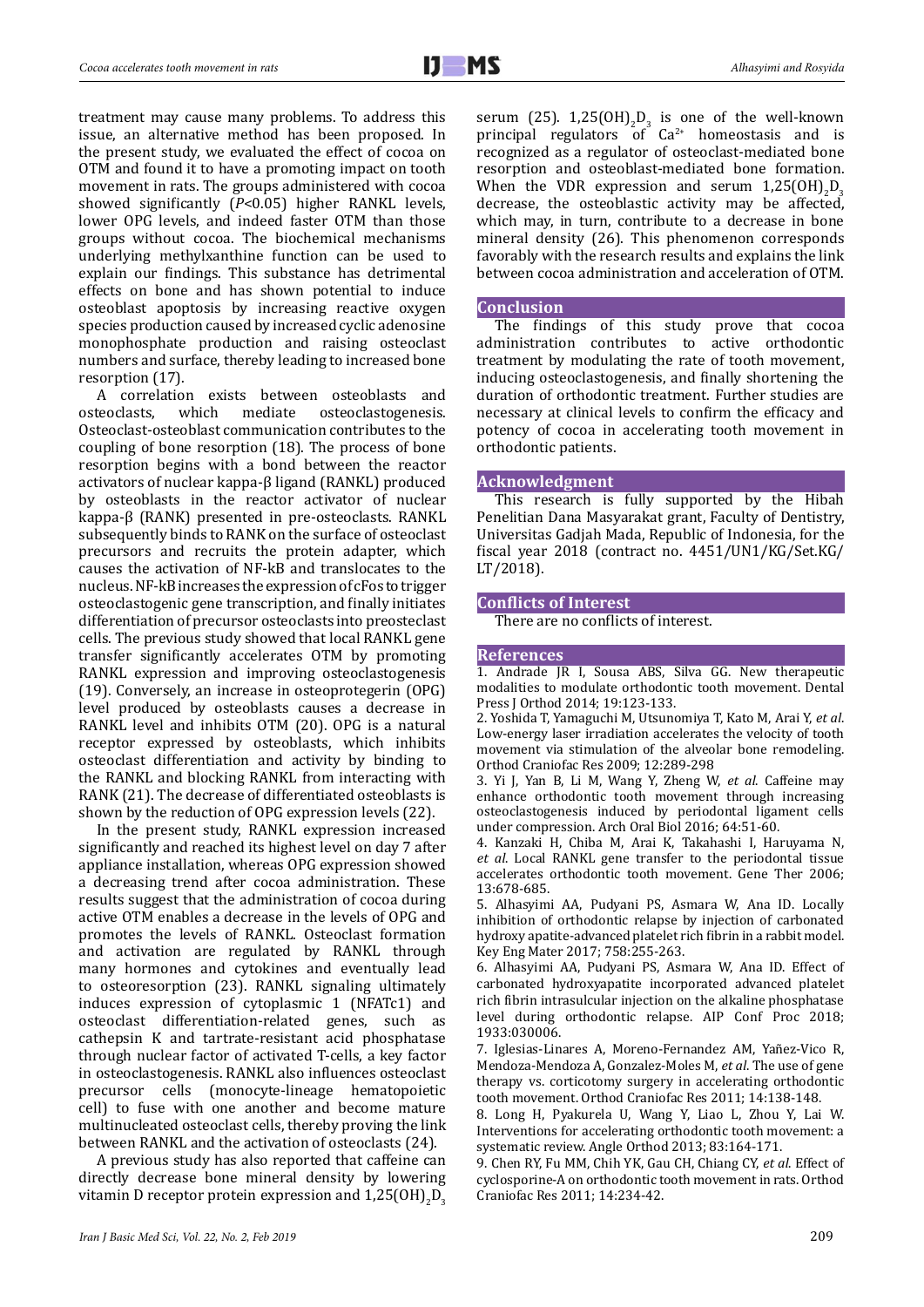treatment may cause many problems. To address this issue, an alternative method has been proposed. In the present study, we evaluated the effect of cocoa on OTM and found it to have a promoting impact on tooth movement in rats. The groups administered with cocoa showed significantly (*P*<0.05) higher RANKL levels, lower OPG levels, and indeed faster OTM than those groups without cocoa. The biochemical mechanisms underlying methylxanthine function can be used to explain our findings. This substance has detrimental effects on bone and has shown potential to induce osteoblast apoptosis by increasing reactive oxygen species production caused by increased cyclic adenosine monophosphate production and raising osteoclast numbers and surface, thereby leading to increased bone resorption (17).

A correlation exists between osteoblasts and<br>osteoclasts, which mediate osteoclastogenesis. osteoclastogenesis. Osteoclast-osteoblast communication contributes to the coupling of bone resorption (18). The process of bone resorption begins with a bond between the reactor activators of nuclear kappa-β ligand (RANKL) produced by osteoblasts in the reactor activator of nuclear kappa-β (RANK) presented in pre-osteoclasts. RANKL subsequently binds to RANK on the surface of osteoclast precursors and recruits the protein adapter, which causes the activation of NF-kB and translocates to the nucleus. NF-kB increases the expression of cFos to trigger osteoclastogenic gene transcription, and finally initiates differentiation of precursor osteoclasts into preosteclast cells. The previous study showed that local RANKL gene transfer significantly accelerates OTM by promoting RANKL expression and improving osteoclastogenesis (19). Conversely, an increase in osteoprotegerin (OPG) level produced by osteoblasts causes a decrease in RANKL level and inhibits OTM (20). OPG is a natural receptor expressed by osteoblasts, which inhibits osteoclast differentiation and activity by binding to the RANKL and blocking RANKL from interacting with RANK (21). The decrease of differentiated osteoblasts is shown by the reduction of OPG expression levels (22).

In the present study, RANKL expression increased significantly and reached its highest level on day 7 after appliance installation, whereas OPG expression showed a decreasing trend after cocoa administration. These results suggest that the administration of cocoa during active OTM enables a decrease in the levels of OPG and promotes the levels of RANKL. Osteoclast formation and activation are regulated by RANKL through many hormones and cytokines and eventually lead to osteoresorption (23). RANKL signaling ultimately induces expression of cytoplasmic 1 (NFATc1) and osteoclast differentiation-related genes, such as cathepsin K and tartrate-resistant acid phosphatase through nuclear factor of activated T-cells, a key factor in osteoclastogenesis. RANKL also influences osteoclast precursor cells (monocyte-lineage hematopoietic cell) to fuse with one another and become mature multinucleated osteoclast cells, thereby proving the link between RANKL and the activation of osteoclasts (24).

A previous study has also reported that caffeine can directly decrease bone mineral density by lowering vitamin D receptor protein expression and  $1,25(OH)_{2}D_{3}$ 

serum (25).  $1,25(OH)_2P_3$  is one of the well-known principal regulators of  $Ca^{2+}$  homeostasis and is recognized as a regulator of osteoclast-mediated bone resorption and osteoblast-mediated bone formation. When the VDR expression and serum  $1,25(OH)_{2}D_{3}$ decrease, the osteoblastic activity may be affected, which may, in turn, contribute to a decrease in bone mineral density (26). This phenomenon corresponds favorably with the research results and explains the link between cocoa administration and acceleration of OTM.

#### **Conclusion**

The findings of this study prove that cocoa administration contributes to active orthodontic treatment by modulating the rate of tooth movement, inducing osteoclastogenesis, and finally shortening the duration of orthodontic treatment. Further studies are necessary at clinical levels to confirm the efficacy and potency of cocoa in accelerating tooth movement in orthodontic patients.

#### **Acknowledgment**

This research is fully supported by the Hibah Penelitian Dana Masyarakat grant, Faculty of Dentistry, Universitas Gadjah Mada, Republic of Indonesia, for the fiscal year 2018 (contract no. 4451/UN1/KG/Set.KG/ LT/2018).

# **Conflicts of Interest**

There are no conflicts of interest.

### **References**

1. Andrade JR I, Sousa ABS, Silva GG. New therapeutic modalities to modulate orthodontic tooth movement. Dental Press J Orthod 2014; 19:123-133.

2. Yoshida T, Yamaguchi M, Utsunomiya T, Kato M, Arai Y, *et al*. Low-energy laser irradiation accelerates the velocity of tooth movement via stimulation of the alveolar bone remodeling. Orthod Craniofac Res 2009; 12:289-298

3. Yi J, Yan B, Li M, Wang Y, Zheng W, *et al*. Caffeine may enhance orthodontic tooth movement through increasing osteoclastogenesis induced by periodontal ligament cells under compression. Arch Oral Biol 2016; 64:51-60.

4. Kanzaki H, Chiba M, Arai K, Takahashi I, Haruyama N, *et al*. Local RANKL gene transfer to the periodontal tissue accelerates orthodontic tooth movement. Gene Ther 2006; 13:678-685.

5. Alhasyimi AA, Pudyani PS, Asmara W, Ana ID. Locally inhibition of orthodontic relapse by injection of carbonated hydroxy apatite-advanced platelet rich fibrin in a rabbit model. Key Eng Mater 2017; 758:255-263.

6. Alhasyimi AA, Pudyani PS, Asmara W, Ana ID. Effect of carbonated hydroxyapatite incorporated advanced platelet rich fibrin intrasulcular injection on the alkaline phosphatase level during orthodontic relapse. AIP Conf Proc 2018; 1933:030006.

7. Iglesias‐Linares A, Moreno‐Fernandez AM, Yañez‐Vico R, Mendoza‐Mendoza A, Gonzalez‐Moles M, *et al*. The use of gene therapy vs. corticotomy surgery in accelerating orthodontic tooth movement. Orthod Craniofac Res 2011; 14:138-148.

8. Long H, Pyakurela U, Wang Y, Liao L, Zhou Y, Lai W. Interventions for accelerating orthodontic tooth movement: a systematic review. Angle Orthod 2013; 83:164-171.

9. Chen RY, Fu MM, Chih YK, Gau CH, Chiang CY, *et al*. Effect of cyclosporine-A on orthodontic tooth movement in rats. Orthod Craniofac Res 2011; 14:234-42.